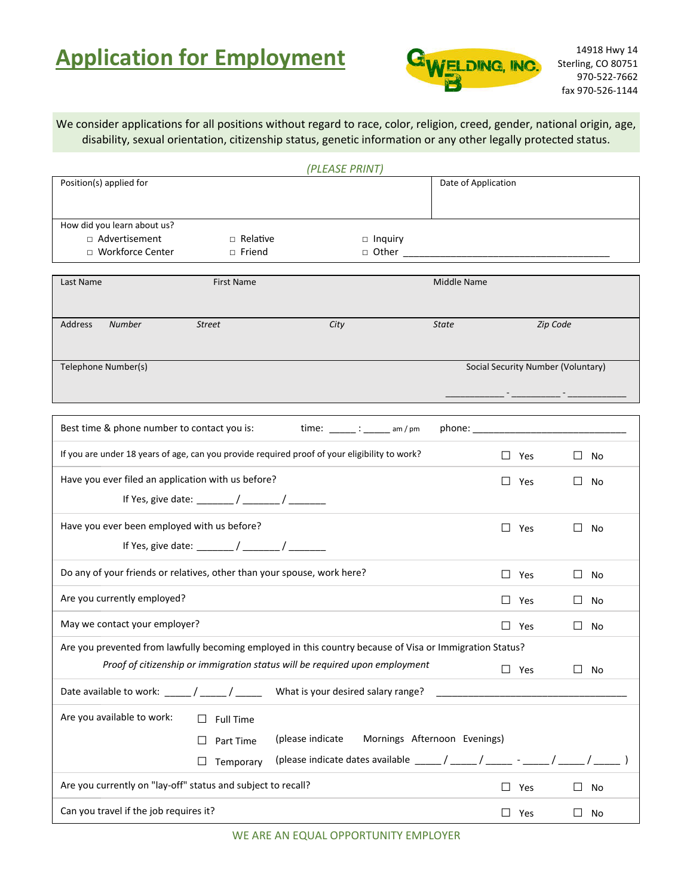# **Application for Employment GWELDING, INC.** Sterling, CO 80751



We consider applications for all positions without regard to race, color, religion, creed, gender, national origin, age, disability, sexual orientation, citizenship status, genetic information or any other legally protected status.

|                                                                                                          | (PLEASE PRINT)                                                                                     |                              |                                    |              |
|----------------------------------------------------------------------------------------------------------|----------------------------------------------------------------------------------------------------|------------------------------|------------------------------------|--------------|
| Position(s) applied for                                                                                  |                                                                                                    | Date of Application          |                                    |              |
| How did you learn about us?<br>□ Advertisement<br>$\Box$ Relative<br>□ Workforce Center<br>□ Friend      | $\Box$ Inquiry                                                                                     |                              |                                    |              |
| Last Name<br><b>First Name</b>                                                                           |                                                                                                    | Middle Name                  |                                    |              |
| <b>Address</b><br><b>Number</b><br><b>Street</b>                                                         | City                                                                                               | <b>State</b>                 | Zip Code                           |              |
| Telephone Number(s)                                                                                      |                                                                                                    |                              | Social Security Number (Voluntary) |              |
| Best time & phone number to contact you is:                                                              |                                                                                                    |                              |                                    |              |
| If you are under 18 years of age, can you provide required proof of your eligibility to work?            |                                                                                                    |                              | $\Box$ Yes                         | $\Box$ No    |
| Have you ever filed an application with us before?                                                       |                                                                                                    |                              | $\Box$<br>$\Box$ Yes               | No           |
| Have you ever been employed with us before?                                                              |                                                                                                    |                              | $\Box$ Yes<br>П                    | No           |
| Do any of your friends or relatives, other than your spouse, work here?                                  |                                                                                                    |                              | $\Box$ Yes                         | $\Box$ No    |
| Are you currently employed?                                                                              |                                                                                                    |                              | $\Box$ Yes<br>Ш                    | No.          |
| May we contact your employer?                                                                            |                                                                                                    |                              | $\Box$ Yes                         | $\square$ No |
| Are you prevented from lawfully becoming employed in this country because of Visa or Immigration Status? | Proof of citizenship or immigration status will be required upon employment                        | $\square$ Yes                |                                    | $\Box$ No    |
| Date available to work: $\frac{1}{\sqrt{1-\frac{1}{2}}}\sqrt{1-\frac{1}{2}}$                             | What is your desired salary range?                                                                 |                              |                                    |              |
| Are you available to work:<br><b>Full Time</b><br>$\Box$<br>Part Time<br>$\Box$<br>Temporary<br>$\Box$   | (please indicate<br>(please indicate dates available _____/ _____/ ______ - _____/ _____/ ______ ) | Mornings Afternoon Evenings) |                                    |              |
| Are you currently on "lay-off" status and subject to recall?                                             |                                                                                                    |                              | $\Box$ Yes                         | $\Box$ No    |
| Can you travel if the job requires it?                                                                   |                                                                                                    |                              | $\Box$ Yes                         | $\Box$ No    |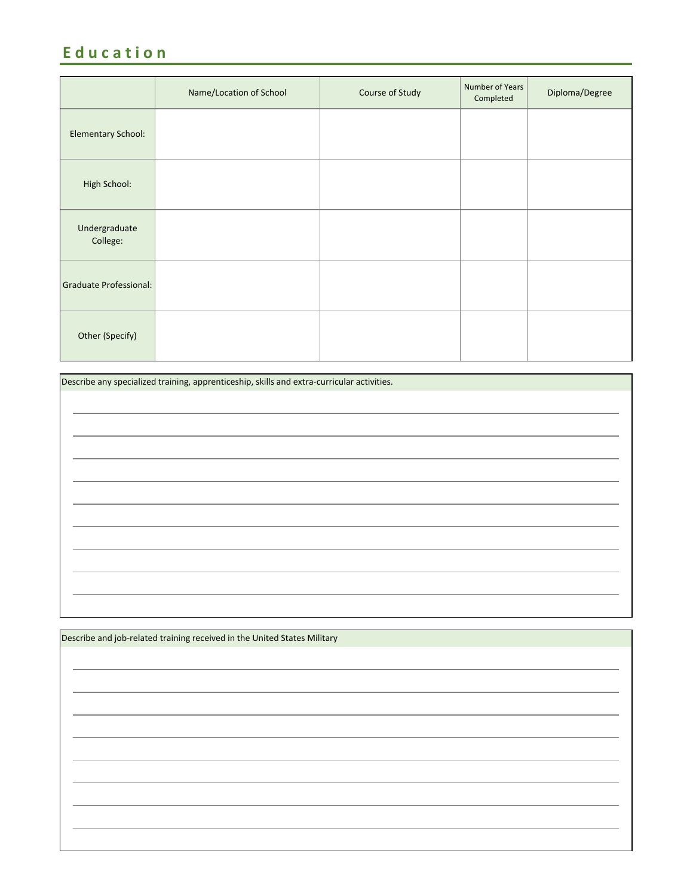### **E d u c a t i o n**

|                               | Name/Location of School | Course of Study | Number of Years<br>Completed | Diploma/Degree |
|-------------------------------|-------------------------|-----------------|------------------------------|----------------|
| Elementary School:            |                         |                 |                              |                |
| High School:                  |                         |                 |                              |                |
| Undergraduate<br>College:     |                         |                 |                              |                |
| <b>Graduate Professional:</b> |                         |                 |                              |                |
| Other (Specify)               |                         |                 |                              |                |

| Describe any specialized training, apprenticeship, skills and extra-curricular activities. |  |  |  |  |
|--------------------------------------------------------------------------------------------|--|--|--|--|
|                                                                                            |  |  |  |  |
|                                                                                            |  |  |  |  |
|                                                                                            |  |  |  |  |
|                                                                                            |  |  |  |  |
|                                                                                            |  |  |  |  |
|                                                                                            |  |  |  |  |
|                                                                                            |  |  |  |  |
|                                                                                            |  |  |  |  |
|                                                                                            |  |  |  |  |
|                                                                                            |  |  |  |  |
|                                                                                            |  |  |  |  |
|                                                                                            |  |  |  |  |
|                                                                                            |  |  |  |  |
|                                                                                            |  |  |  |  |

| Describe and job-related training received in the United States Military |  |  |  |  |  |
|--------------------------------------------------------------------------|--|--|--|--|--|
|                                                                          |  |  |  |  |  |
|                                                                          |  |  |  |  |  |
|                                                                          |  |  |  |  |  |
|                                                                          |  |  |  |  |  |
|                                                                          |  |  |  |  |  |
|                                                                          |  |  |  |  |  |
|                                                                          |  |  |  |  |  |
|                                                                          |  |  |  |  |  |
|                                                                          |  |  |  |  |  |
|                                                                          |  |  |  |  |  |
|                                                                          |  |  |  |  |  |
|                                                                          |  |  |  |  |  |
|                                                                          |  |  |  |  |  |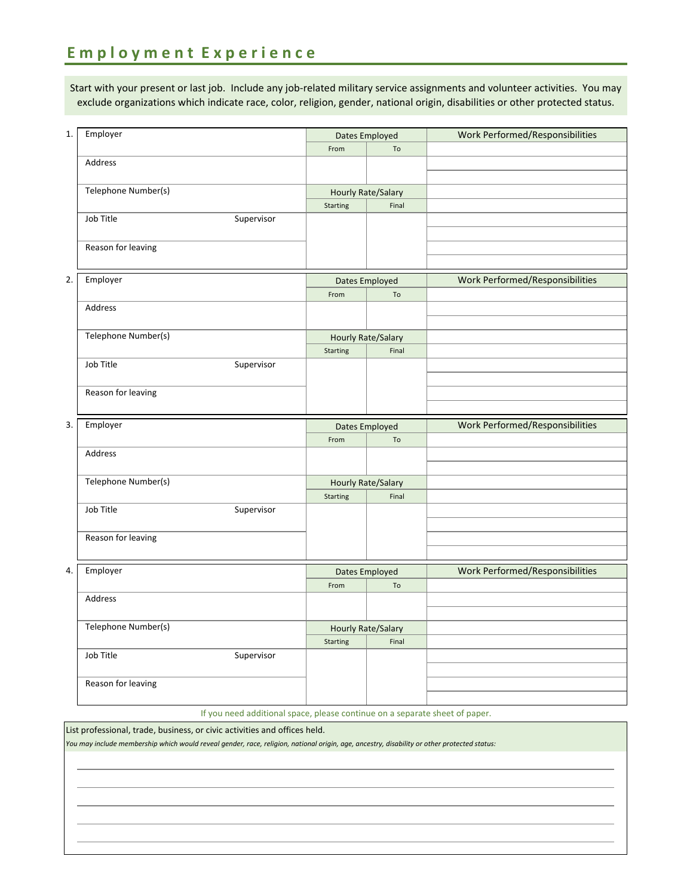#### **E m p l o y m e n t E x p e r i e n c e**

Start with your present or last job. Include any job-related military service assignments and volunteer activities. You may exclude organizations which indicate race, color, religion, gender, national origin, disabilities or other protected status.

| 1. | Employer                | <b>Dates Employed</b> |                                    | Work Performed/Responsibilities |
|----|-------------------------|-----------------------|------------------------------------|---------------------------------|
|    |                         | From                  | To                                 |                                 |
|    | Address                 |                       |                                    |                                 |
|    |                         |                       |                                    |                                 |
|    | Telephone Number(s)     |                       | Hourly Rate/Salary                 |                                 |
|    |                         | Starting              | Final                              |                                 |
|    | Job Title<br>Supervisor |                       |                                    |                                 |
|    |                         |                       |                                    |                                 |
|    | Reason for leaving      |                       |                                    |                                 |
|    |                         |                       |                                    |                                 |
| 2. | Employer                | Dates Employed        |                                    | Work Performed/Responsibilities |
|    |                         | From                  | To                                 |                                 |
|    | Address                 |                       |                                    |                                 |
|    |                         |                       |                                    |                                 |
|    | Telephone Number(s)     |                       | <b>Hourly Rate/Salary</b>          |                                 |
|    |                         | Starting              | Final                              |                                 |
|    | Job Title<br>Supervisor |                       |                                    |                                 |
|    |                         |                       |                                    |                                 |
|    | Reason for leaving      |                       |                                    |                                 |
|    |                         |                       |                                    |                                 |
|    |                         | Dates Employed        |                                    |                                 |
|    |                         |                       |                                    |                                 |
| 3. | Employer                | From                  | To                                 | Work Performed/Responsibilities |
|    | Address                 |                       |                                    |                                 |
|    |                         |                       |                                    |                                 |
|    | Telephone Number(s)     |                       |                                    |                                 |
|    |                         | Starting              | <b>Hourly Rate/Salary</b><br>Final |                                 |
|    | Job Title<br>Supervisor |                       |                                    |                                 |
|    |                         |                       |                                    |                                 |
|    | Reason for leaving      |                       |                                    |                                 |
|    |                         |                       |                                    |                                 |
| 4. |                         |                       |                                    |                                 |
|    | Employer                |                       | Dates Employed                     | Work Performed/Responsibilities |
|    | Address                 | From                  | To                                 |                                 |
|    |                         |                       |                                    |                                 |
|    | Telephone Number(s)     |                       |                                    |                                 |
|    |                         | <b>Starting</b>       | <b>Hourly Rate/Salary</b><br>Final |                                 |
|    | Job Title<br>Supervisor |                       |                                    |                                 |
|    |                         |                       |                                    |                                 |
|    | Reason for leaving      |                       |                                    |                                 |
|    |                         |                       |                                    |                                 |

List professional, trade, business, or civic activities and offices held.

*You may include membership which would reveal gender, race, religion, national origin, age, ancestry, disability or other protected status:*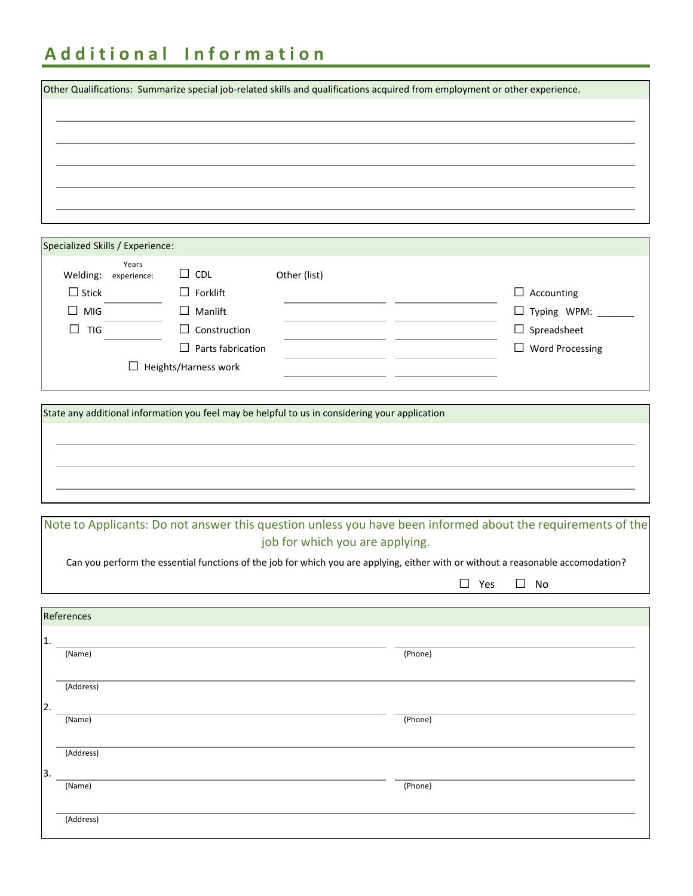## **A d d i t i o n a l I n f o r m a t i o n**

|                                  |       |                          |                                                                                                |         | Other Qualifications: Summarize special job-related skills and qualifications acquired from employment or other experience.      |
|----------------------------------|-------|--------------------------|------------------------------------------------------------------------------------------------|---------|----------------------------------------------------------------------------------------------------------------------------------|
|                                  |       |                          |                                                                                                |         |                                                                                                                                  |
|                                  |       |                          |                                                                                                |         |                                                                                                                                  |
|                                  |       |                          |                                                                                                |         |                                                                                                                                  |
|                                  |       |                          |                                                                                                |         |                                                                                                                                  |
|                                  |       |                          |                                                                                                |         |                                                                                                                                  |
|                                  |       |                          |                                                                                                |         |                                                                                                                                  |
|                                  |       |                          |                                                                                                |         |                                                                                                                                  |
|                                  |       |                          |                                                                                                |         |                                                                                                                                  |
|                                  |       |                          |                                                                                                |         |                                                                                                                                  |
| Specialized Skills / Experience: |       |                          |                                                                                                |         |                                                                                                                                  |
|                                  | Years |                          |                                                                                                |         |                                                                                                                                  |
| Welding: experience:             |       | $\Box$ CDL               | Other (list)                                                                                   |         |                                                                                                                                  |
| $\Box$ Stick                     |       | $\Box$ Forklift          |                                                                                                |         | $\Box$ Accounting                                                                                                                |
| $\Box$ MIG                       |       | $\Box$ Manlift           |                                                                                                |         | $\Box$ Typing WPM: $\_\_$                                                                                                        |
| $\Box$ TIG                       |       | $\Box$ Construction      |                                                                                                |         | $\Box$ Spreadsheet                                                                                                               |
|                                  |       | $\Box$ Parts fabrication |                                                                                                |         | $\Box$ Word Processing                                                                                                           |
|                                  |       |                          |                                                                                                |         |                                                                                                                                  |
|                                  |       | Heights/Harness work     |                                                                                                |         |                                                                                                                                  |
|                                  |       |                          |                                                                                                |         |                                                                                                                                  |
|                                  |       |                          | State any additional information you feel may be helpful to us in considering your application |         |                                                                                                                                  |
|                                  |       |                          |                                                                                                |         |                                                                                                                                  |
|                                  |       |                          |                                                                                                |         |                                                                                                                                  |
|                                  |       |                          |                                                                                                |         |                                                                                                                                  |
|                                  |       |                          |                                                                                                |         |                                                                                                                                  |
|                                  |       |                          |                                                                                                |         |                                                                                                                                  |
|                                  |       |                          |                                                                                                |         |                                                                                                                                  |
|                                  |       |                          |                                                                                                |         |                                                                                                                                  |
|                                  |       |                          |                                                                                                |         | Note to Applicants: Do not answer this question unless you have been informed about the requirements of the                      |
|                                  |       |                          | job for which you are applying.                                                                |         |                                                                                                                                  |
|                                  |       |                          |                                                                                                |         | Can you perform the essential functions of the job for which you are applying, either with or without a reasonable accomodation? |
|                                  |       |                          |                                                                                                |         | $\Box$ Yes<br>$\square$ No                                                                                                       |
|                                  |       |                          |                                                                                                |         |                                                                                                                                  |
| References                       |       |                          |                                                                                                |         |                                                                                                                                  |
|                                  |       |                          |                                                                                                |         |                                                                                                                                  |
| 1.                               |       |                          |                                                                                                |         |                                                                                                                                  |
| (Name)                           |       |                          |                                                                                                | (Phone) |                                                                                                                                  |
|                                  |       |                          |                                                                                                |         |                                                                                                                                  |
| (Address)                        |       |                          |                                                                                                |         |                                                                                                                                  |
|                                  |       |                          |                                                                                                |         |                                                                                                                                  |
| (Name)                           |       |                          |                                                                                                | (Phone) |                                                                                                                                  |
|                                  |       |                          |                                                                                                |         |                                                                                                                                  |
| (Address)                        |       |                          |                                                                                                |         |                                                                                                                                  |
| 3.                               |       |                          |                                                                                                |         |                                                                                                                                  |
|                                  |       |                          |                                                                                                |         |                                                                                                                                  |

(Name) (Phone)

(Address)